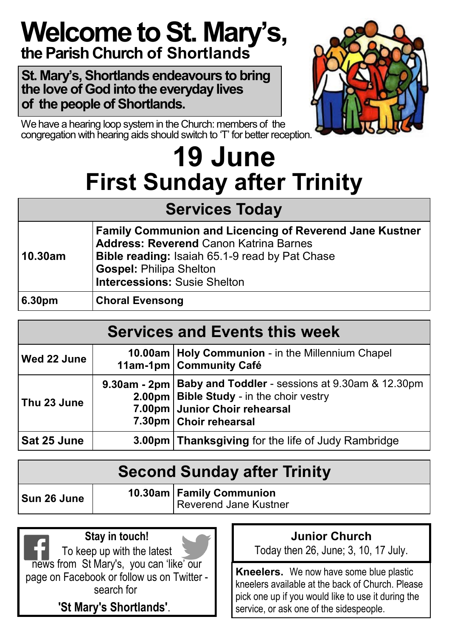# **Welcome to St. Mary's, the Parish Church of Shortlands**

**St. Mary's, Shortlands endeavours to bring the love of God into the everyday lives of the people of Shortlands.** 



We have a hearing loop system in the Church: members of the congregation with hearing aids should switch to 'T' for better reception.

# **19 June First Sunday after Trinity**

## **Services Today**

| ∣ 10.30am | <b>Family Communion and Licencing of Reverend Jane Kustner</b><br><b>Address: Reverend Canon Katrina Barnes</b><br><b>Bible reading: Isaiah 65.1-9 read by Pat Chase</b><br><b>Gospel: Philipa Shelton</b><br><b>Intercessions: Susie Shelton</b> |
|-----------|---------------------------------------------------------------------------------------------------------------------------------------------------------------------------------------------------------------------------------------------------|
| 6.30pm    | <b>Choral Evensong</b>                                                                                                                                                                                                                            |

| <b>Services and Events this week</b> |  |                                                                                                                                                                         |  |  |
|--------------------------------------|--|-------------------------------------------------------------------------------------------------------------------------------------------------------------------------|--|--|
| Wed 22 June                          |  | 10.00am   Holy Communion - in the Millennium Chapel<br>11am-1pm Community Café                                                                                          |  |  |
| Thu 23 June                          |  | 9.30am - 2pm   Baby and Toddler - sessions at 9.30am & 12.30pm<br>2.00pm   Bible Study - in the choir vestry<br>7.00pm Junior Choir rehearsal<br>7.30pm Choir rehearsal |  |  |
| Sat 25 June                          |  | 3.00pm Thanksgiving for the life of Judy Rambridge                                                                                                                      |  |  |

| <b>Second Sunday after Trinity</b> |  |                                                     |  |  |
|------------------------------------|--|-----------------------------------------------------|--|--|
| Sun 26 June                        |  | 10.30am   Family Communion<br>Reverend Jane Kustner |  |  |



## **Junior Church**

Today then 26, June; 3, 10, 17 July.

**Kneelers.** We now have some blue plastic kneelers available at the back of Church. Please pick one up if you would like to use it during the service, or ask one of the sidespeople.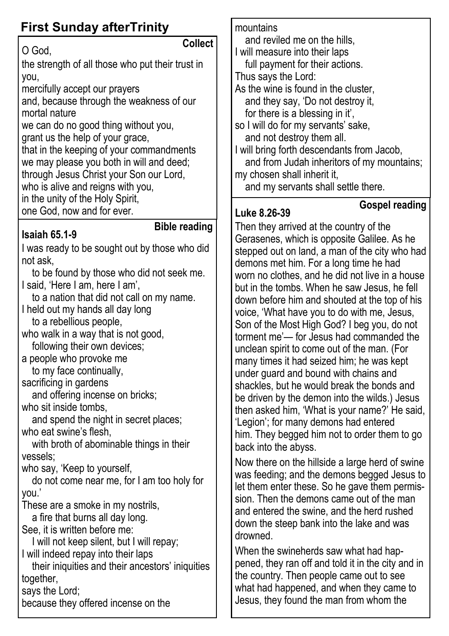#### **First Sunday afterTrinity Collect** O God, the strength of all those who put their trust in you, mercifully accept our prayers and, because through the weakness of our mortal nature we can do no good thing without you, grant us the help of your grace, that in the keeping of your commandments we may please you both in will and deed; through Jesus Christ your Son our Lord, who is alive and reigns with you. in the unity of the Holy Spirit, one God, now and for ever. **Bible reading Isaiah 65.1-9** I was ready to be sought out by those who did not ask, to be found by those who did not seek me. I said, 'Here I am, here I am', **Luke 8.26-39** Then they arrived at the country of the mountains and reviled me on the hills, I will measure into their laps full payment for their actions. Thus says the Lord: As the wine is found in the cluster, and they say, 'Do not destroy it, for there is a blessing in it'. so I will do for my servants' sake, and not destroy them all. my chosen shall inherit it, and my servants shall settle there.

to a nation that did not call on my name.

- I held out my hands all day long to a rebellious people,
- who walk in a way that is not good. following their own devices;
- a people who provoke me to my face continually,

sacrificing in gardens

and offering incense on bricks;

who sit inside tombs

 and spend the night in secret places; who eat swine's flesh,

 with broth of abominable things in their vessels;

who say, 'Keep to yourself,

 do not come near me, for I am too holy for you.'

These are a smoke in my nostrils,

 a fire that burns all day long. See, it is written before me:

I will not keep silent, but I will repay;

I will indeed repay into their laps

 their iniquities and their ancestors' iniquities together.

says the Lord;

because they offered incense on the

I will bring forth descendants from Jacob, and from Judah inheritors of my mountains;

**Gospel reading**

Gerasenes, which is opposite Galilee. As he stepped out on land, a man of the city who had demons met him. For a long time he had worn no clothes, and he did not live in a house but in the tombs. When he saw Jesus, he fell down before him and shouted at the top of his voice, 'What have you to do with me, Jesus, Son of the Most High God? I beg you, do not torment me'— for Jesus had commanded the unclean spirit to come out of the man. (For many times it had seized him; he was kept under guard and bound with chains and shackles, but he would break the bonds and be driven by the demon into the wilds.) Jesus then asked him, 'What is your name?' He said, 'Legion'; for many demons had entered him. They begged him not to order them to go back into the abyss.

Now there on the hillside a large herd of swine was feeding; and the demons begged Jesus to let them enter these. So he gave them permission. Then the demons came out of the man and entered the swine, and the herd rushed down the steep bank into the lake and was drowned.

When the swineherds saw what had happened, they ran off and told it in the city and in the country. Then people came out to see what had happened, and when they came to Jesus, they found the man from whom the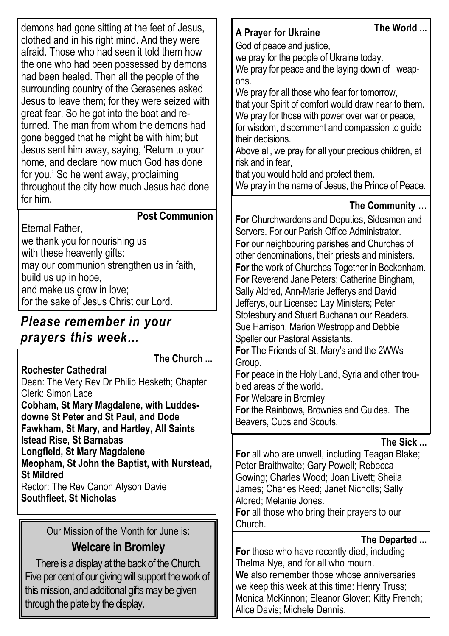demons had gone sitting at the feet of Jesus, clothed and in his right mind. And they were afraid. Those who had seen it told them how the one who had been possessed by demons had been healed. Then all the people of the surrounding country of the Gerasenes asked Jesus to leave them; for they were seized with great fear. So he got into the boat and returned. The man from whom the demons had gone begged that he might be with him; but Jesus sent him away, saying, 'Return to your home, and declare how much God has done for you.' So he went away, proclaiming throughout the city how much Jesus had done for him.

### **Post Communion**

Eternal Father, we thank you for nourishing us with these heavenly gifts: may our communion strengthen us in faith, build us up in hope, and make us grow in love: for the sake of Jesus Christ our Lord.

## *Please remember in your prayers this week…*

#### **The Church ...**

#### **Rochester Cathedral**

Dean: The Very Rev Dr Philip Hesketh; Chapter Clerk: Simon Lace

**Cobham, St Mary Magdalene, with Luddesdowne St Peter and St Paul, and Dode Fawkham, St Mary, and Hartley, All Saints Istead Rise, St Barnabas Longfield, St Mary Magdalene Meopham, St John the Baptist, with Nurstead, St Mildred**  Rector: The Rev Canon Alyson Davie **Southfleet, St Nicholas** 

Our Mission of the Month for June is:

## **Welcare in Bromley**

There is a display at the back of the Church. Five per cent of our giving will support the work of this mission, and additional gifts may be given through the plate by the display.

## **The World ... A Prayer for Ukraine**

God of peace and justice,

we pray for the people of Ukraine today.

We pray for peace and the laying down of weapons.

We pray for all those who fear for tomorrow,

that your Spirit of comfort would draw near to them. We pray for those with power over war or peace, for wisdom, discernment and compassion to guide their decisions.

Above all, we pray for all your precious children, at risk and in fear,

that you would hold and protect them.

We pray in the name of Jesus, the Prince of Peace.

#### **The Community …**

**For** Churchwardens and Deputies, Sidesmen and Servers. For our Parish Office Administrator. **For** our neighbouring parishes and Churches of other denominations, their priests and ministers. **For** the work of Churches Together in Beckenham. **For** Reverend Jane Peters; Catherine Bingham, Sally Aldred, Ann-Marie Jefferys and David Jefferys, our Licensed Lay Ministers; Peter Stotesbury and Stuart Buchanan our Readers. Sue Harrison, Marion Westropp and Debbie Speller our Pastoral Assistants.

**For** The Friends of St. Mary's and the 2WWs Group.

For peace in the Holy Land, Syria and other troubled areas of the world.

**For** Welcare in Bromley

**For** the Rainbows, Brownies and Guides. The Beavers, Cubs and Scouts.

#### **The Sick ...**

**For** all who are unwell, including Teagan Blake; Peter Braithwaite; Gary Powell; Rebecca Gowing; Charles Wood; Joan Livett; Sheila James; Charles Reed; Janet Nicholls; Sally Aldred; Melanie Jones.

**For** all those who bring their prayers to our Church.

#### **The Departed ...**

**For** those who have recently died, including Thelma Nye, and for all who mourn. **We** also remember those whose anniversaries we keep this week at this time: Henry Truss; Monica McKinnon; Eleanor Glover; Kitty French; Alice Davis; Michele Dennis.